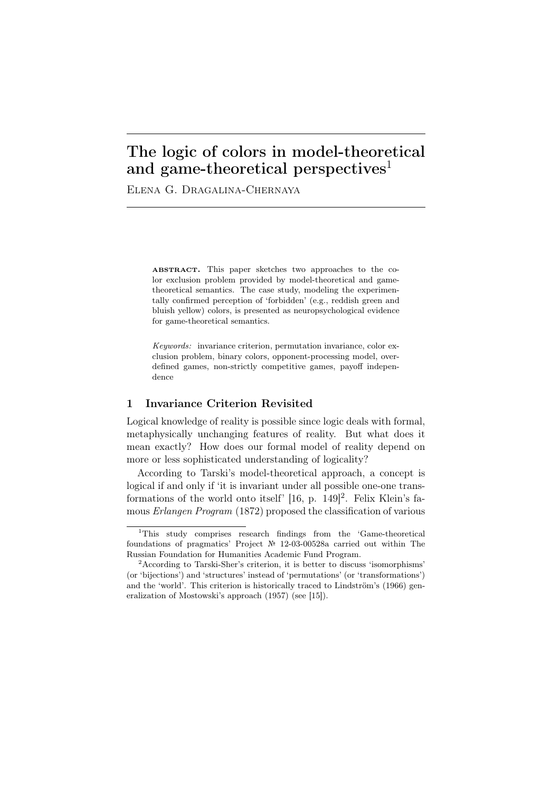# The logic of colors in model-theoretical and game-theoretical perspectives<sup>1</sup>

Elena G. Dragalina-Chernaya

ABSTRACT. This paper sketches two approaches to the color exclusion problem provided by model-theoretical and gametheoretical semantics. The case study, modeling the experimentally confirmed perception of 'forbidden' (e.g., reddish green and bluish yellow) colors, is presented as neuropsychological evidence for game-theoretical semantics.

*Keywords:* invariance criterion, permutation invariance, color exclusion problem, binary colors, opponent-processing model, overdefined games, non-strictly competitive games, payoff independence

### 1 Invariance Criterion Revisited

Logical knowledge of reality is possible since logic deals with formal, metaphysically unchanging features of reality. But what does it mean exactly? How does our formal model of reality depend on more or less sophisticated understanding of logicality?

According to Tarski's model-theoretical approach, a concept is logical if and only if 'it is invariant under all possible one-one transformations of the world onto itself'  $[16, p. 149]^2$ . Felix Klein's famous *Erlangen Program* (1872) proposed the classification of various

<sup>1</sup>This study comprises research findings from the 'Game-theoretical foundations of pragmatics' Project № 12-03-00528a carried out within The Russian Foundation for Humanities Academic Fund Program.

<sup>2</sup>According to Tarski-Sher's criterion, it is better to discuss 'isomorphisms' (or 'bijections') and 'structures' instead of 'permutations' (or 'transformations') and the 'world'. This criterion is historically traced to Lindström's (1966) generalization of Mostowski's approach (1957) (see [15]).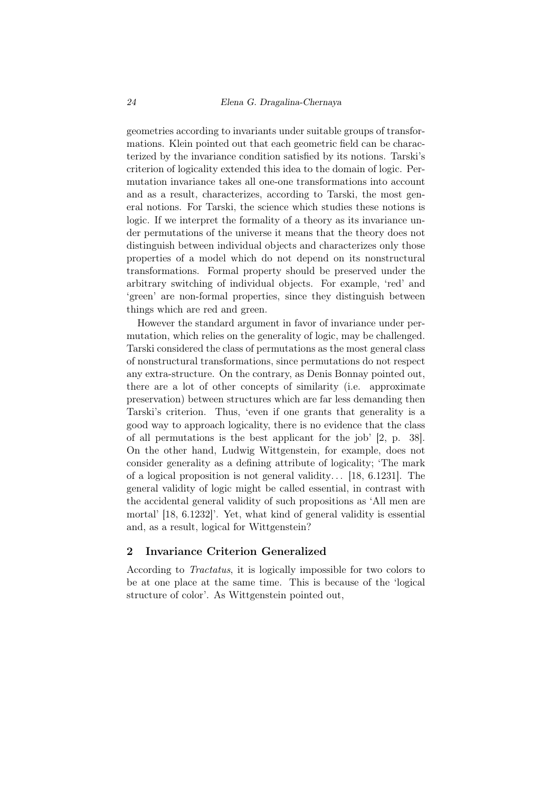geometries according to invariants under suitable groups of transformations. Klein pointed out that each geometric field can be characterized by the invariance condition satisfied by its notions. Tarski's criterion of logicality extended this idea to the domain of logic. Permutation invariance takes all one-one transformations into account and as a result, characterizes, according to Tarski, the most general notions. For Tarski, the science which studies these notions is logic. If we interpret the formality of a theory as its invariance under permutations of the universe it means that the theory does not distinguish between individual objects and characterizes only those properties of a model which do not depend on its nonstructural transformations. Formal property should be preserved under the arbitrary switching of individual objects. For example, 'red' and 'green' are non-formal properties, since they distinguish between things which are red and green.

However the standard argument in favor of invariance under permutation, which relies on the generality of logic, may be challenged. Tarski considered the class of permutations as the most general class of nonstructural transformations, since permutations do not respect any extra-structure. On the contrary, as Denis Bonnay pointed out, there are a lot of other concepts of similarity (i.e. approximate preservation) between structures which are far less demanding then Tarski's criterion. Thus, 'even if one grants that generality is a good way to approach logicality, there is no evidence that the class of all permutations is the best applicant for the job' [2, p. 38]. On the other hand, Ludwig Wittgenstein, for example, does not consider generality as a defining attribute of logicality; 'The mark of a logical proposition is not general validity...  $[18, 6.1231]$ . The general validity of logic might be called essential, in contrast with the accidental general validity of such propositions as 'All men are mortal' [18, 6.1232]'. Yet, what kind of general validity is essential and, as a result, logical for Wittgenstein?

## 2 Invariance Criterion Generalized

According to *Tractatus*, it is logically impossible for two colors to be at one place at the same time. This is because of the 'logical structure of color'. As Wittgenstein pointed out,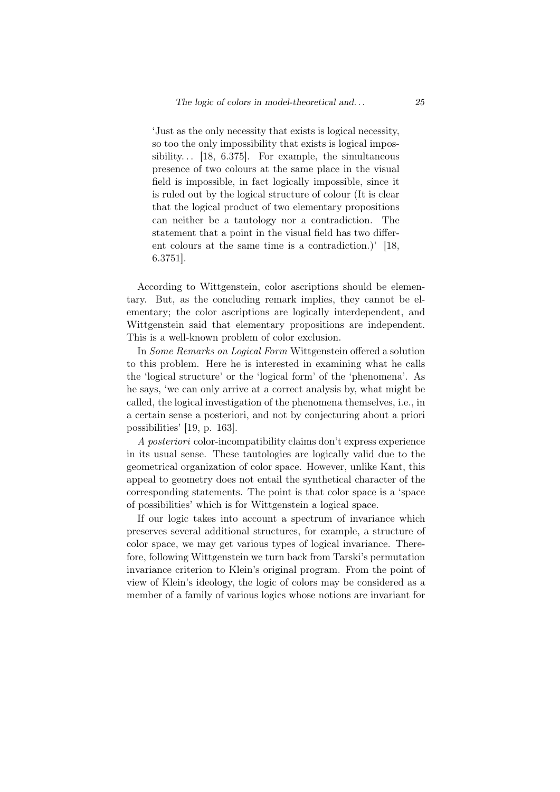'Just as the only necessity that exists is logical necessity, so too the only impossibility that exists is logical impossibility...  $[18, 6.375]$ . For example, the simultaneous presence of two colours at the same place in the visual field is impossible, in fact logically impossible, since it is ruled out by the logical structure of colour (It is clear that the logical product of two elementary propositions can neither be a tautology nor a contradiction. The statement that a point in the visual field has two different colours at the same time is a contradiction.)' [18, 6.3751].

According to Wittgenstein, color ascriptions should be elementary. But, as the concluding remark implies, they cannot be elementary; the color ascriptions are logically interdependent, and Wittgenstein said that elementary propositions are independent. This is a well-known problem of color exclusion.

In *Some Remarks on Logical Form* Wittgenstein offered a solution to this problem. Here he is interested in examining what he calls the 'logical structure' or the 'logical form' of the 'phenomena'. As he says, 'we can only arrive at a correct analysis by, what might be called, the logical investigation of the phenomena themselves, i.e., in a certain sense a posteriori, and not by conjecturing about a priori possibilities' [19, p. 163].

*A posteriori* color-incompatibility claims don't express experience in its usual sense. These tautologies are logically valid due to the geometrical organization of color space. However, unlike Kant, this appeal to geometry does not entail the synthetical character of the corresponding statements. The point is that color space is a 'space of possibilities' which is for Wittgenstein a logical space.

If our logic takes into account a spectrum of invariance which preserves several additional structures, for example, a structure of color space, we may get various types of logical invariance. Therefore, following Wittgenstein we turn back from Tarski's permutation invariance criterion to Klein's original program. From the point of view of Klein's ideology, the logic of colors may be considered as a member of a family of various logics whose notions are invariant for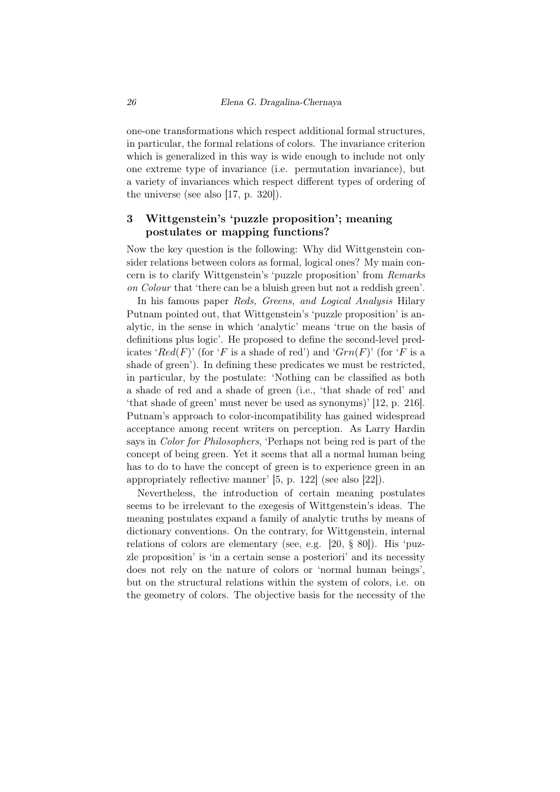one-one transformations which respect additional formal structures, in particular, the formal relations of colors. The invariance criterion which is generalized in this way is wide enough to include not only one extreme type of invariance (i.e. permutation invariance), but a variety of invariances which respect different types of ordering of the universe (see also [17, p. 320]).

# 3 Wittgenstein's 'puzzle proposition'; meaning postulates or mapping functions?

Now the key question is the following: Why did Wittgenstein consider relations between colors as formal, logical ones? My main concern is to clarify Wittgenstein's 'puzzle proposition' from *Remarks on Colour* that 'there can be a bluish green but not a reddish green'.

In his famous paper *Reds, Greens, and Logical Analysis* Hilary Putnam pointed out, that Wittgenstein's 'puzzle proposition' is analytic, in the sense in which 'analytic' means 'true on the basis of definitions plus logic'. He proposed to define the second-level predicates '*Red*(*F*)' (for '*F* is a shade of red') and ' $Grn(F)$ ' (for '*F* is a shade of green'). In defining these predicates we must be restricted, in particular, by the postulate: 'Nothing can be classified as both a shade of red and a shade of green (i.e., 'that shade of red' and 'that shade of green' must never be used as synonyms)' [12, p. 216]. Putnam's approach to color-incompatibility has gained widespread acceptance among recent writers on perception. As Larry Hardin says in *Color for Philosophers*, 'Perhaps not being red is part of the concept of being green. Yet it seems that all a normal human being has to do to have the concept of green is to experience green in an appropriately reflective manner' [5, p. 122] (see also [22]).

Nevertheless, the introduction of certain meaning postulates seems to be irrelevant to the exegesis of Wittgenstein's ideas. The meaning postulates expand a family of analytic truths by means of dictionary conventions. On the contrary, for Wittgenstein, internal relations of colors are elementary (see, e.g. [20, § 80]). His 'puzzle proposition' is 'in a certain sense a posteriori' and its necessity does not rely on the nature of colors or 'normal human beings', but on the structural relations within the system of colors, i.e. on the geometry of colors. The objective basis for the necessity of the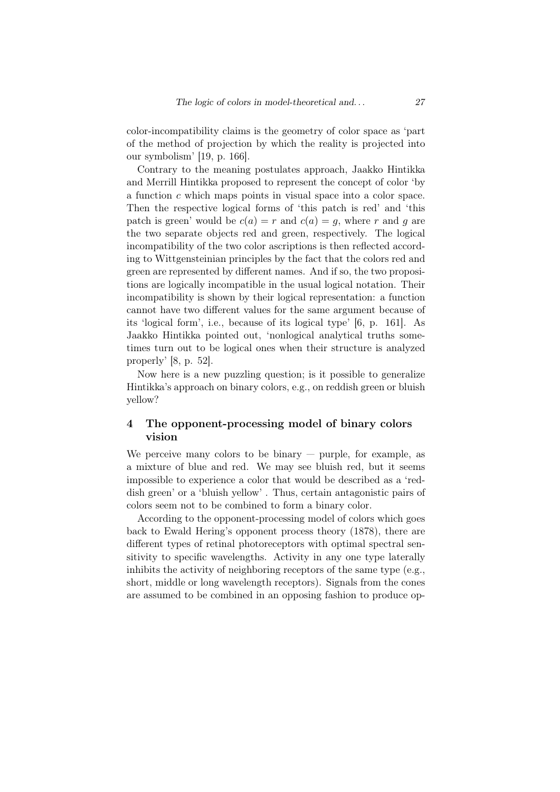color-incompatibility claims is the geometry of color space as 'part of the method of projection by which the reality is projected into our symbolism' [19, p. 166].

Contrary to the meaning postulates approach, Jaakko Hintikka and Merrill Hintikka proposed to represent the concept of color 'by a function *c* which maps points in visual space into a color space. Then the respective logical forms of 'this patch is red' and 'this patch is green' would be  $c(a) = r$  and  $c(a) = g$ , where r and g are the two separate objects red and green, respectively. The logical incompatibility of the two color ascriptions is then reflected according to Wittgensteinian principles by the fact that the colors red and green are represented by different names. And if so, the two propositions are logically incompatible in the usual logical notation. Their incompatibility is shown by their logical representation: a function cannot have two different values for the same argument because of its 'logical form', i.e., because of its logical type' [6, p. 161]. As Jaakko Hintikka pointed out, 'nonlogical analytical truths sometimes turn out to be logical ones when their structure is analyzed properly' [8, p. 52].

Now here is a new puzzling question; is it possible to generalize Hintikka's approach on binary colors, e.g., on reddish green or bluish yellow?

## 4 The opponent-processing model of binary colors vision

We perceive many colors to be binary  $-$  purple, for example, as a mixture of blue and red. We may see bluish red, but it seems impossible to experience a color that would be described as a 'reddish green' or a 'bluish yellow' . Thus, certain antagonistic pairs of colors seem not to be combined to form a binary color.

According to the opponent-processing model of colors which goes back to Ewald Hering's opponent process theory (1878), there are different types of retinal photoreceptors with optimal spectral sensitivity to specific wavelengths. Activity in any one type laterally inhibits the activity of neighboring receptors of the same type (e.g., short, middle or long wavelength receptors). Signals from the cones are assumed to be combined in an opposing fashion to produce op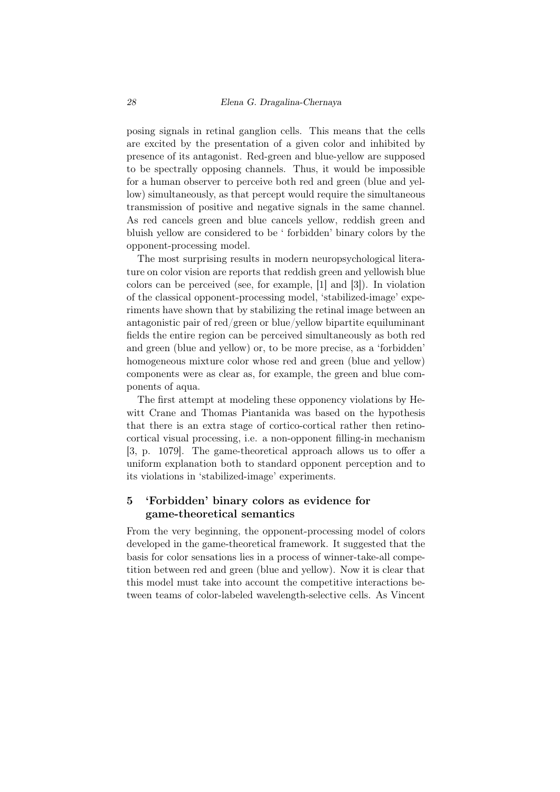posing signals in retinal ganglion cells. This means that the cells are excited by the presentation of a given color and inhibited by presence of its antagonist. Red-green and blue-yellow are supposed to be spectrally opposing channels. Thus, it would be impossible for a human observer to perceive both red and green (blue and yellow) simultaneously, as that percept would require the simultaneous transmission of positive and negative signals in the same channel. As red cancels green and blue cancels yellow, reddish green and bluish yellow are considered to be ' forbidden' binary colors by the opponent-processing model.

The most surprising results in modern neuropsychological literature on color vision are reports that reddish green and yellowish blue colors can be perceived (see, for example, [1] and [3]). In violation of the classical opponent-processing model, 'stabilized-image' experiments have shown that by stabilizing the retinal image between an antagonistic pair of red/green or blue/yellow bipartite equiluminant fields the entire region can be perceived simultaneously as both red and green (blue and yellow) or, to be more precise, as a 'forbidden' homogeneous mixture color whose red and green (blue and yellow) components were as clear as, for example, the green and blue components of aqua.

The first attempt at modeling these opponency violations by Hewitt Crane and Thomas Piantanida was based on the hypothesis that there is an extra stage of cortico-cortical rather then retinocortical visual processing, i.e. a non-opponent filling-in mechanism [3, p. 1079]. The game-theoretical approach allows us to offer a uniform explanation both to standard opponent perception and to its violations in 'stabilized-image' experiments.

## 5 'Forbidden' binary colors as evidence for game-theoretical semantics

From the very beginning, the opponent-processing model of colors developed in the game-theoretical framework. It suggested that the basis for color sensations lies in a process of winner-take-all competition between red and green (blue and yellow). Now it is clear that this model must take into account the competitive interactions between teams of color-labeled wavelength-selective cells. As Vincent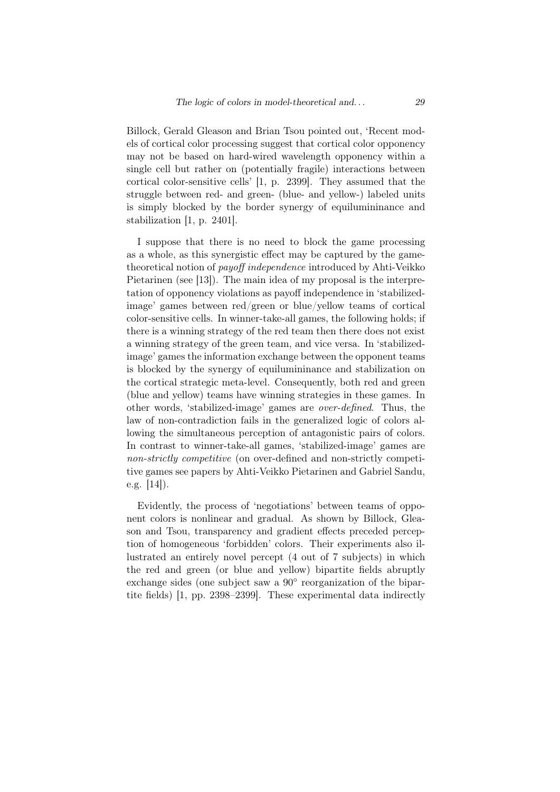Billock, Gerald Gleason and Brian Tsou pointed out, 'Recent models of cortical color processing suggest that cortical color opponency may not be based on hard-wired wavelength opponency within a single cell but rather on (potentially fragile) interactions between cortical color-sensitive cells' [1, p. 2399]. They assumed that the struggle between red- and green- (blue- and yellow-) labeled units is simply blocked by the border synergy of equilumininance and stabilization [1, p. 2401].

I suppose that there is no need to block the game processing as a whole, as this synergistic effect may be captured by the gametheoretical notion of *payoff independence* introduced by Ahti-Veikko Pietarinen (see [13]). The main idea of my proposal is the interpretation of opponency violations as payoff independence in 'stabilizedimage' games between red/green or blue/yellow teams of cortical color-sensitive cells. In winner-take-all games, the following holds; if there is a winning strategy of the red team then there does not exist a winning strategy of the green team, and vice versa. In 'stabilizedimage' games the information exchange between the opponent teams is blocked by the synergy of equilumininance and stabilization on the cortical strategic meta-level. Consequently, both red and green (blue and yellow) teams have winning strategies in these games. In other words, 'stabilized-image' games are *over-defined*. Thus, the law of non-contradiction fails in the generalized logic of colors allowing the simultaneous perception of antagonistic pairs of colors. In contrast to winner-take-all games, 'stabilized-image' games are *non-strictly competitive* (on over-defined and non-strictly competitive games see papers by Ahti-Veikko Pietarinen and Gabriel Sandu, e.g. [14]).

Evidently, the process of 'negotiations' between teams of opponent colors is nonlinear and gradual. As shown by Billock, Gleason and Tsou, transparency and gradient effects preceded perception of homogeneous 'forbidden' colors. Their experiments also illustrated an entirely novel percept (4 out of 7 subjects) in which the red and green (or blue and yellow) bipartite fields abruptly exchange sides (one subject saw a 90*◦* reorganization of the bipartite fields) [1, pp. 2398–2399]. These experimental data indirectly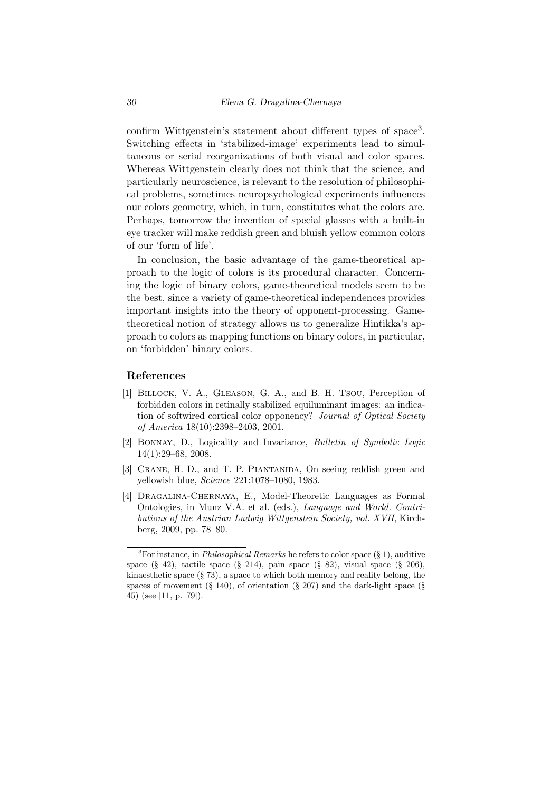confirm Wittgenstein's statement about different types of space<sup>3</sup>. Switching effects in 'stabilized-image' experiments lead to simultaneous or serial reorganizations of both visual and color spaces. Whereas Wittgenstein clearly does not think that the science, and particularly neuroscience, is relevant to the resolution of philosophical problems, sometimes neuropsychological experiments influences our colors geometry, which, in turn, constitutes what the colors are. Perhaps, tomorrow the invention of special glasses with a built-in eye tracker will make reddish green and bluish yellow common colors of our 'form of life'.

In conclusion, the basic advantage of the game-theoretical approach to the logic of colors is its procedural character. Concerning the logic of binary colors, game-theoretical models seem to be the best, since a variety of game-theoretical independences provides important insights into the theory of opponent-processing. Gametheoretical notion of strategy allows us to generalize Hintikka's approach to colors as mapping functions on binary colors, in particular, on 'forbidden' binary colors.

### References

- [1] Billock, V. A., Gleason, G. A., and B. H. Tsou, Perception of forbidden colors in retinally stabilized equiluminant images: an indication of softwired cortical color opponency? *Journal of Optical Society of America* 18(10):2398–2403, 2001.
- [2] Bonnay, D., Logicality and Invariance, *Bulletin of Symbolic Logic* 14(1):29–68, 2008.
- [3] CRANE, H. D., and T. P. PIANTANIDA, On seeing reddish green and yellowish blue, *Science* 221:1078–1080, 1983.
- [4] Dragalina-Chernaya, E., Model-Theoretic Languages as Formal Ontologies, in Munz V.A. et al. (eds.), *Language and World. Contributions of the Austrian Ludwig Wittgenstein Society, vol. XVII*, Kirchberg, 2009, pp. 78–80.

<sup>3</sup>For instance, in *Philosophical Remarks* he refers to color space (§ 1), auditive space  $(\S 42)$ , tactile space  $(\S 214)$ , pain space  $(\S 82)$ , visual space  $(\S 206)$ , kinaes thetic space  $(\S 73)$ , a space to which both memory and reality belong, the spaces of movement  $(\S 140)$ , of orientation  $(\S 207)$  and the dark-light space  $(\S$ 45) (see [11, p. 79]).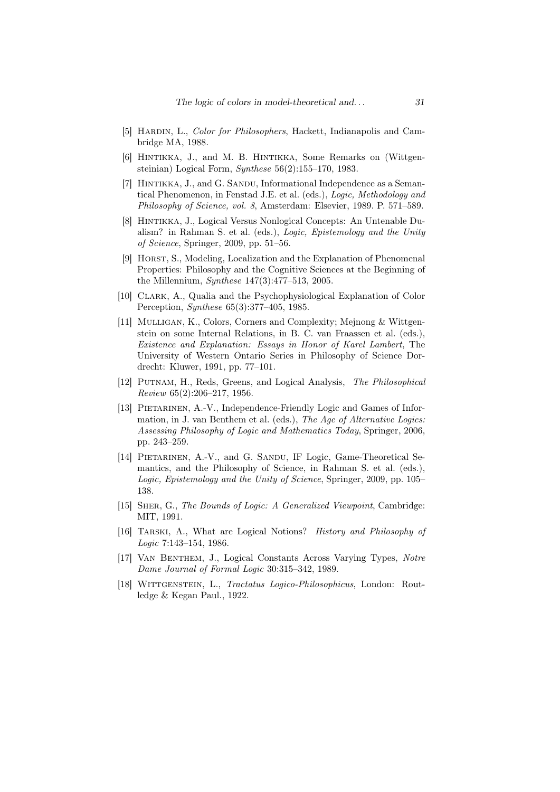- [5] Hardin, L., *Color for Philosophers*, Hackett, Indianapolis and Cambridge MA, 1988.
- [6] HINTIKKA, J., and M. B. HINTIKKA, Some Remarks on (Wittgensteinian) Logical Form, *Synthese* 56(2):155–170, 1983.
- [7] HINTIKKA, J., and G. SANDU, Informational Independence as a Semantical Phenomenon, in Fenstad J.E. et al. (eds.), *Logic, Methodology and Philosophy of Science, vol. 8*, Amsterdam: Elsevier, 1989. P. 571–589.
- [8] HINTIKKA, J., Logical Versus Nonlogical Concepts: An Untenable Dualism? in Rahman S. et al. (eds.), *Logic, Epistemology and the Unity of Science*, Springer, 2009, pp. 51–56.
- [9] Horst, S., Modeling, Localization and the Explanation of Phenomenal Properties: Philosophy and the Cognitive Sciences at the Beginning of the Millennium, *Synthese* 147(3):477–513, 2005.
- [10] Clark, A., Qualia and the Psychophysiological Explanation of Color Perception, *Synthese* 65(3):377–405, 1985.
- [11] MULLIGAN, K., Colors, Corners and Complexity; Mejnong & Wittgenstein on some Internal Relations, in B. C. van Fraassen et al. (eds.), *Existence and Explanation: Essays in Honor of Karel Lambert*, The University of Western Ontario Series in Philosophy of Science Dordrecht: Kluwer, 1991, pp. 77–101.
- [12] Putnam, H., Reds, Greens, and Logical Analysis, *The Philosophical Review* 65(2):206–217, 1956.
- [13] Pietarinen, A.-V., Independence-Friendly Logic and Games of Information, in J. van Benthem et al. (eds.), *The Age of Alternative Logics: Assessing Philosophy of Logic and Mathematics Today*, Springer, 2006, pp. 243–259.
- [14] PIETARINEN, A.-V., and G. SANDU, IF Logic, Game-Theoretical Semantics, and the Philosophy of Science, in Rahman S. et al. (eds.), *Logic, Epistemology and the Unity of Science*, Springer, 2009, pp. 105– 138.
- [15] Sher, G., *The Bounds of Logic: A Generalized Viewpoint*, Cambridge: MIT, 1991.
- [16] Tarski, A., What are Logical Notions? *History and Philosophy of Logic* 7:143–154, 1986.
- [17] Van Benthem, J., Logical Constants Across Varying Types, *Notre Dame Journal of Formal Logic* 30:315–342, 1989.
- [18] Wittgenstein, L., *Tractatus Logico-Philosophicus*, London: Routledge & Kegan Paul., 1922.